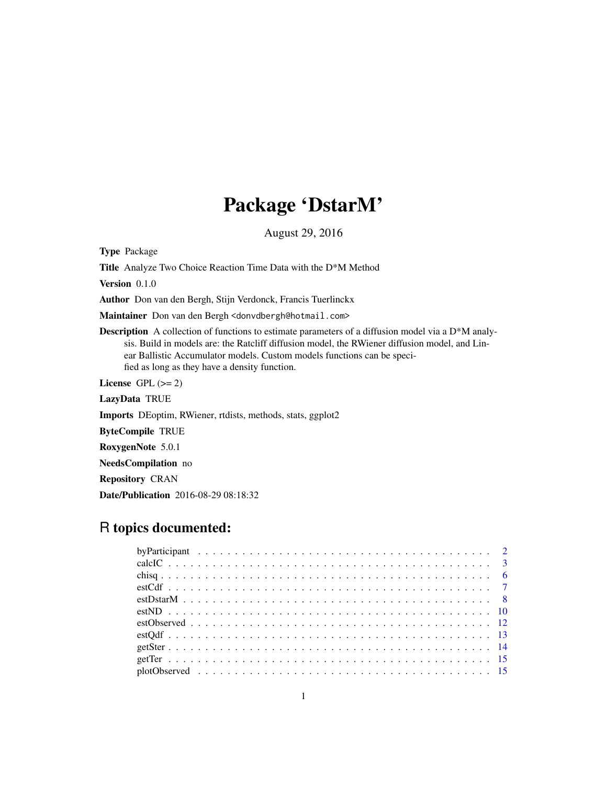## Package 'DstarM'

August 29, 2016

<span id="page-0-0"></span>Type Package

Title Analyze Two Choice Reaction Time Data with the D\*M Method

Version 0.1.0

Author Don van den Bergh, Stijn Verdonck, Francis Tuerlinckx

Maintainer Don van den Bergh <donvdbergh@hotmail.com>

**Description** A collection of functions to estimate parameters of a diffusion model via a  $D^*M$  analysis. Build in models are: the Ratcliff diffusion model, the RWiener diffusion model, and Linear Ballistic Accumulator models. Custom models functions can be specified as long as they have a density function.

License GPL  $(>= 2)$ 

LazyData TRUE

Imports DEoptim, RWiener, rtdists, methods, stats, ggplot2

ByteCompile TRUE

RoxygenNote 5.0.1

NeedsCompilation no

Repository CRAN

Date/Publication 2016-08-29 08:18:32

## R topics documented: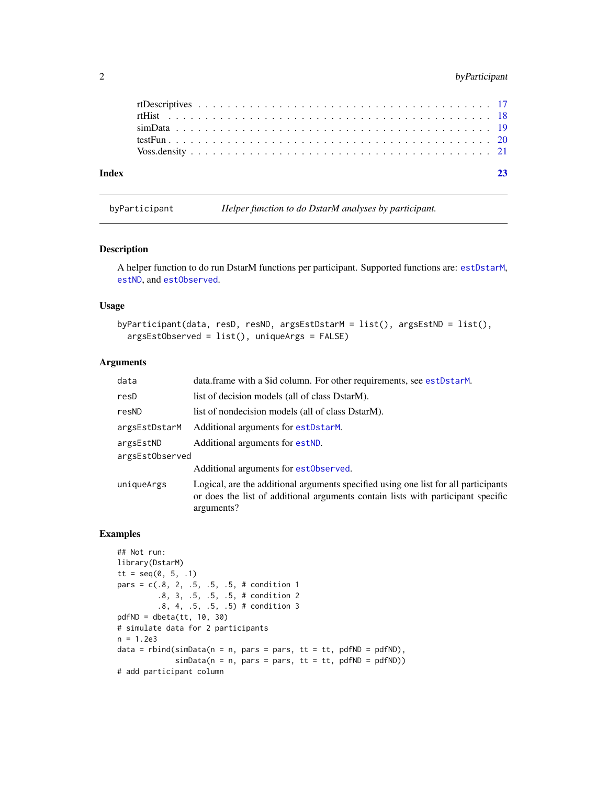#### <span id="page-1-0"></span>2 byParticipant

| Index |  |  |  |  |  |  |  |  |  |  |  |  |  |  |  |  |  |  |  |
|-------|--|--|--|--|--|--|--|--|--|--|--|--|--|--|--|--|--|--|--|
|       |  |  |  |  |  |  |  |  |  |  |  |  |  |  |  |  |  |  |  |
|       |  |  |  |  |  |  |  |  |  |  |  |  |  |  |  |  |  |  |  |
|       |  |  |  |  |  |  |  |  |  |  |  |  |  |  |  |  |  |  |  |
|       |  |  |  |  |  |  |  |  |  |  |  |  |  |  |  |  |  |  |  |
|       |  |  |  |  |  |  |  |  |  |  |  |  |  |  |  |  |  |  |  |

byParticipant *Helper function to do DstarM analyses by participant.*

#### Description

A helper function to do run DstarM functions per participant. Supported functions are: [estDstarM](#page-7-1), [estND](#page-9-1), and [estObserved](#page-11-1).

#### Usage

```
byParticipant(data, resD, resND, argsEstDstarM = list(), argsEstND = list(),
 argsEstObserved = list(), uniqueArgs = FALSE)
```
#### Arguments

| data            | data.frame with a \$id column. For other requirements, see estDstarM.                                                                                                                 |
|-----------------|---------------------------------------------------------------------------------------------------------------------------------------------------------------------------------------|
| resD            | list of decision models (all of class DstarM).                                                                                                                                        |
| resND           | list of nondecision models (all of class DstarM).                                                                                                                                     |
| argsEstDstarM   | Additional arguments for estDstarM.                                                                                                                                                   |
| argsEstND       | Additional arguments for estND.                                                                                                                                                       |
| argsEstObserved |                                                                                                                                                                                       |
|                 | Additional arguments for estObserved.                                                                                                                                                 |
| uniqueArgs      | Logical, are the additional arguments specified using one list for all participants<br>or does the list of additional arguments contain lists with participant specific<br>arguments? |

```
## Not run:
library(DstarM)
tt = seq(0, 5, .1)pars = c(.8, 2, .5, .5, .5, # condition 1).8, 3, .5, .5, .5, # condition 2
         .8, 4, .5, .5, .5) # condition 3
pdfND = dbeta(tt, 10, 30)# simulate data for 2 participants
n = 1.2e3data = rbind(sinData(n = n, pars = pars, tt = tt, pdfND = pdfND),simData(n = n, pars = pars, tt = tt, pdfND = pdfND))# add participant column
```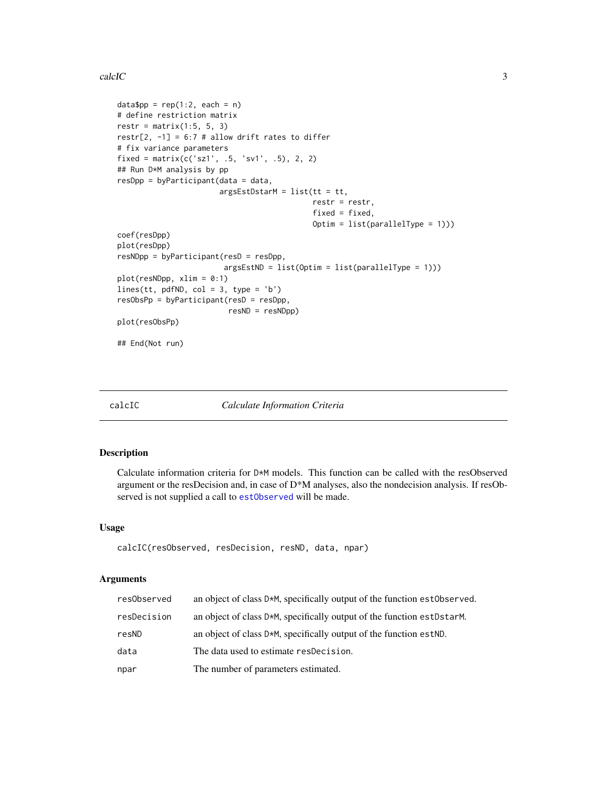#### <span id="page-2-0"></span> $\text{calcIC}$  3

```
data$pp = rep(1:2, each = n)
# define restriction matrix
restr = matrix(1:5, 5, 3)restr[2, -1] = 6:7 # allow drift rates to differ
# fix variance parameters
fixed = matrix(c('sz1', .5, 'sv1', .5), 2, 2)## Run D*M analysis by pp
resDpp = byParticipant(data = data,
                       argsEstDstarM = list(tt = tt,restr = restr,
                                            fixed = fixed,
                                            Optim = list(parallelType = 1)))
coef(resDpp)
plot(resDpp)
resNDpp = byParticipant(resD = resDpp,
                        argsEstND = list(Optim = list(parallelType = 1)))
plot(resNDpp, xlim = 0:1)
lines(tt, pdfND, col = 3, type = 'b')resObsPp = byParticipant(resD = resDpp,
                         resND = resNDpp)
plot(resObsPp)
## End(Not run)
```
calcIC *Calculate Information Criteria*

#### Description

Calculate information criteria for D\*M models. This function can be called with the resObserved argument or the resDecision and, in case of D\*M analyses, also the nondecision analysis. If resObserved is not supplied a call to [estObserved](#page-11-1) will be made.

#### Usage

calcIC(resObserved, resDecision, resND, data, npar)

#### Arguments

| resObserved | an object of class D*M, specifically output of the function estObserved. |
|-------------|--------------------------------------------------------------------------|
| resDecision | an object of class D*M, specifically output of the function estDstarM.   |
| resND       | an object of class D*M, specifically output of the function est ND.      |
| data        | The data used to estimate respecision.                                   |
| npar        | The number of parameters estimated.                                      |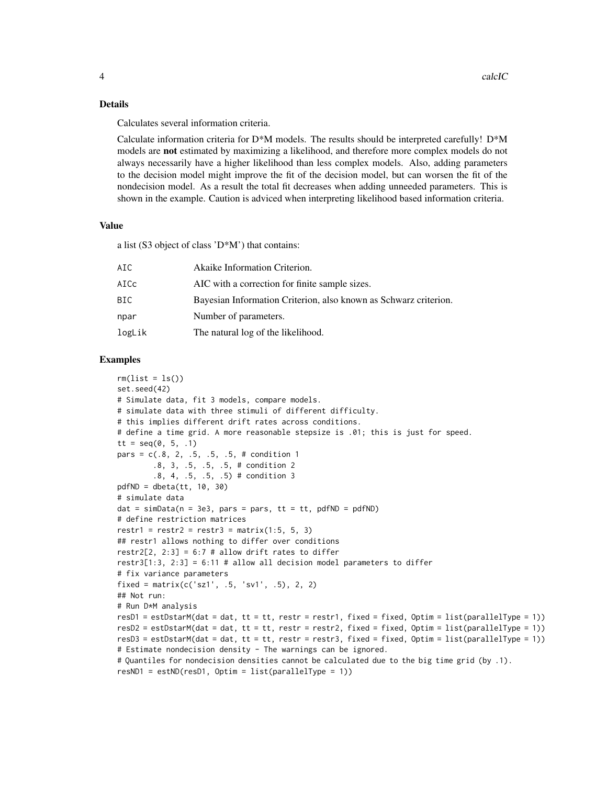#### Details

Calculates several information criteria.

Calculate information criteria for D\*M models. The results should be interpreted carefully! D\*M models are **not** estimated by maximizing a likelihood, and therefore more complex models do not always necessarily have a higher likelihood than less complex models. Also, adding parameters to the decision model might improve the fit of the decision model, but can worsen the fit of the nondecision model. As a result the total fit decreases when adding unneeded parameters. This is shown in the example. Caution is adviced when interpreting likelihood based information criteria.

#### Value

a list (S3 object of class 'D\*M') that contains:

| AIC    | Akaike Information Criterion.                                    |
|--------|------------------------------------------------------------------|
| AICc   | AIC with a correction for finite sample sizes.                   |
| BIC    | Bayesian Information Criterion, also known as Schwarz criterion. |
| npar   | Number of parameters.                                            |
| logLik | The natural log of the likelihood.                               |
|        |                                                                  |

```
rm(list = ls())set.seed(42)
# Simulate data, fit 3 models, compare models.
# simulate data with three stimuli of different difficulty.
# this implies different drift rates across conditions.
# define a time grid. A more reasonable stepsize is .01; this is just for speed.
tt = seq(0, 5, .1)pars = c(.8, 2, .5, .5, .5, # condition 1).8, 3, .5, .5, .5, # condition 2
        .8, 4, .5, .5, .5) # condition 3
pdfND = dbeta(tt, 10, 30)
# simulate data
dat = simData(n = 3e3, pars = pars, tt = tt, pdfND = pdfND)# define restriction matrices
restr1 = restr2 = restr3 = matrix(1:5, 5, 3)## restr1 allows nothing to differ over conditions
restr2[2, 2:3] = 6:7 # allow drift rates to differ
restr3[1:3, 2:3] = 6:11 # allow all decision model parameters to differ
# fix variance parameters
fixed = matrix(c('szl', .5, 'sv1', .5), 2, 2)## Not run:
# Run D*M analysis
resD1 = estDstarM(dat = dat, tt = tt, restr = restr1, fixed = fixed, Optim = list(parallelType = 1))
resD2 = estDstarM(data = dat, tt = tt, restr = restr2, fixed = fixed, Optim = list(parallelType = 1))resD3 = estDstarM(dat = dat, tt = tt, restr = restr3, fixed = fixed, Optim = list(parallelType = 1))
# Estimate nondecision density - The warnings can be ignored.
# Quantiles for nondecision densities cannot be calculated due to the big time grid (by .1).
resND1 = estND(resD1, Optim = list(parallelType = 1))
```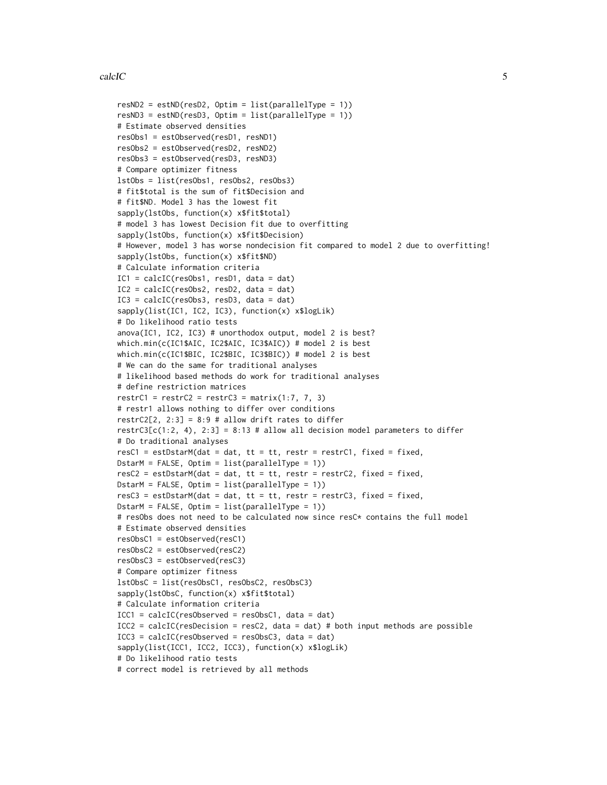```
resND2 = estND(resD2, Optim = list(parallelType = 1))resND3 = estND(resD3, Optim = list(parallelType = 1))# Estimate observed densities
resObs1 = estObserved(resD1, resND1)
resObs2 = estObserved(resD2, resND2)
resObs3 = estObserved(resD3, resND3)
# Compare optimizer fitness
lstObs = list(resObs1, resObs2, resObs3)
# fit$total is the sum of fit$Decision and
# fit$ND. Model 3 has the lowest fit
sapply(lstObs, function(x) x$fit$total)
# model 3 has lowest Decision fit due to overfitting
sapply(lstObs, function(x) x$fit$Decision)
# However, model 3 has worse nondecision fit compared to model 2 due to overfitting!
sapply(lstObs, function(x) x$fit$ND)
# Calculate information criteria
IC1 = calcIC(resObs1, resD1, data = dat)
IC2 = calcIC(resObs2, resD2, data = dat)
IC3 = calcIC(resObs3, resD3, data = dat)
sapply(list(IC1, IC2, IC3), function(x) x$logLik)
# Do likelihood ratio tests
anova(IC1, IC2, IC3) # unorthodox output, model 2 is best?
which.min(c(IC1$AIC, IC2$AIC, IC3$AIC)) # model 2 is best
which.min(c(IC1$BIC, IC2$BIC, IC3$BIC)) # model 2 is best
# We can do the same for traditional analyses
# likelihood based methods do work for traditional analyses
# define restriction matrices
restrC1 = restrC2 = restrC3 = matrix(1:7, 7, 3)# restr1 allows nothing to differ over conditions
restrC2[2, 2:3] = 8:9 # allow drift rates to differ
restrC3[c(1:2, 4), 2:3] = 8:13 # allow all decision model parameters to differ
# Do traditional analyses
resC1 = estDstarM(data = dat, tt = tt, restr = restrC1, fixed = fixed,DstarM = FALSE, Optim = list(parallelType = 1))
resC2 = estDstarM(data = dat, tt = tt, restr = restrC2, fixed = fixed,DstarM = FALSE, Optim = list(parallelType = 1))
resC3 = estDstarM(data = dat, tt = tt, restr = restrC3, fixed = fixed,DstarM = FALSE, Optim = list(parallelType = 1))
# resObs does not need to be calculated now since resC* contains the full model
# Estimate observed densities
resObsC1 = estObserved(resC1)
resObsC2 = estObserved(resC2)
resObsC3 = estObserved(resC3)
# Compare optimizer fitness
lstObsC = list(resObsC1, resObsC2, resObsC3)
sapply(lstObsC, function(x) x$fit$total)
# Calculate information criteria
ICC1 = calcIC(resObserved = resObsC1, data = dat)ICC2 = calcIC(resDecision = resC2, data = dat) # both input methods are possible.ICC3 = calcIC(resObserved = resObsC3, data = dat)sapply(list(ICC1, ICC2, ICC3), function(x) x$logLik)
# Do likelihood ratio tests
# correct model is retrieved by all methods
```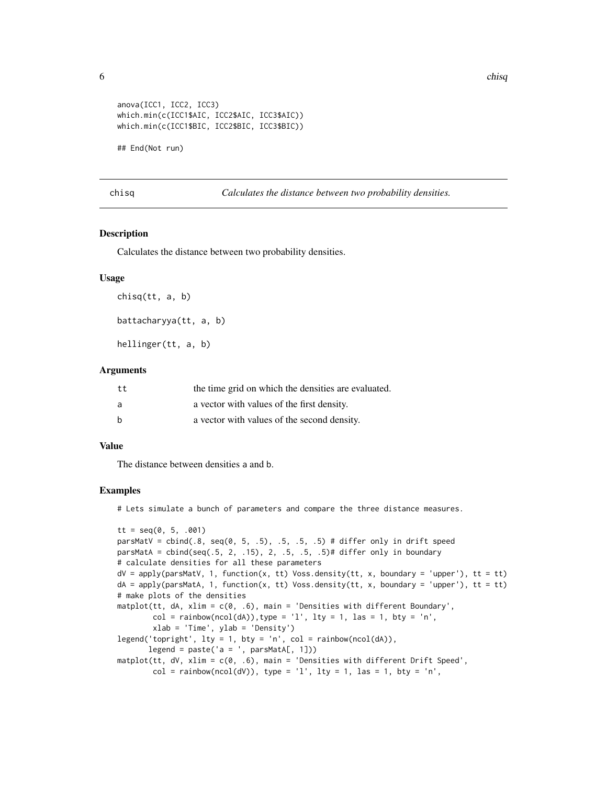```
anova(ICC1, ICC2, ICC3)
which.min(c(ICC1$AIC, ICC2$AIC, ICC3$AIC))
which.min(c(ICC1$BIC, ICC2$BIC, ICC3$BIC))
```
## End(Not run)

chisq *Calculates the distance between two probability densities.*

#### Description

Calculates the distance between two probability densities.

#### Usage

chisq(tt, a, b)

battacharyya(tt, a, b)

hellinger(tt, a, b)

#### Arguments

| tt | the time grid on which the densities are evaluated. |
|----|-----------------------------------------------------|
| a  | a vector with values of the first density.          |
| b  | a vector with values of the second density.         |

#### Value

The distance between densities a and b.

#### Examples

# Lets simulate a bunch of parameters and compare the three distance measures.

```
tt = seq(0, 5, .001)parsMatV = cbind(.8, seq(0, 5, .5), .5, .5, .5) # differ only in drift speed
parsMatA = cbind(seq(.5, 2, .15), 2, .5, .5, .5)# differ only in boundary
# calculate densities for all these parameters
dV = apply(parsMatV, 1, function(x, tt) Voss. density(tt, x, boundary = 'upper'), tt = tt)dA = apply(parsMatA, 1, function(x, tt) Voss. density(tt, x, boundary = 'upper'), tt = tt)# make plots of the densities
matplot(tt, dA, xlim = c(0, .6), main = 'Densities with different Boundary',
        col = rainbow(ncol(dA)), type = 'l', lty = 1, las = 1, bty = 'n',
        xlab = 'Time', ylab = 'Density')
legend('topright', lty = 1, bty = 'n', col = rainbow(ncol(dA)),legend = paste('a = ', parsMatA[, 1])matplot(tt, dV, xlim = c(\emptyset, .6), main = 'Densities with different Drift Speed',
        col = rainbow(ncol(dV)), type = 'l', lty = 1, las = 1, bty = 'n',
```
<span id="page-5-0"></span> $\epsilon$  chief chief chief chief chief chief chief chief chief chief chief chief chief chief chief chief chief chief chief chief chief chief chief chief chief chief chief chief chief chief chief chief chief chief chief chief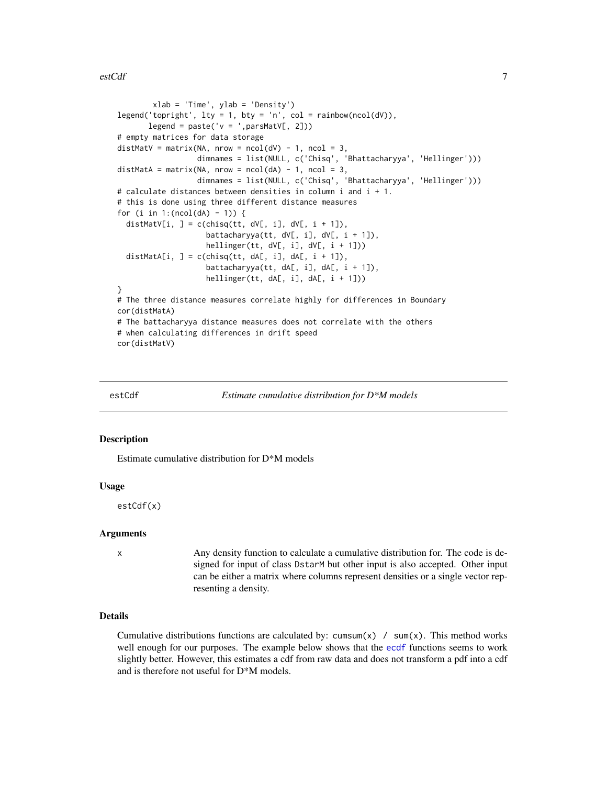<span id="page-6-0"></span>estCdf 7

```
xlab = 'Time', ylab = 'Density')
legend('topright', lty = 1, bty = 'n', col = rainbow(ncol(dV)),
      legend = paste('v = ', parsMatV[, 2]))
# empty matrices for data storage
distMatV = matrix(NA, nrow = ncol(dV) - 1, ncol = 3,
                  dimnames = list(NULL, c('Chisq', 'Bhattacharyya', 'Hellinger')))
distMatA = matrix(NA, nrow = ncol(dA) - 1, ncol = 3,
                  dimnames = list(NULL, c('Chisq', 'Bhattacharyya', 'Hellinger')))
# calculate distances between densities in column i and i + 1.
# this is done using three different distance measures
for (i in 1: (ncol(dA) - 1)) {
 distMatV[i, ] = c(chisq(tt, dV[, i], dV[, i + 1]),
                    battacharyya(tt, dV[, i], dV[, i + 1]),
                    hellinger(tt, dV[, i], dV[, i + 1]))
 distMatA[i, ] = c(chisq(tt, dA[, i], dA[, i + 1]),
                    battacharyya(tt, dA[, i], dA[, i + 1],hellinger(tt, dA[, i], dA[, i + 1]))
}
# The three distance measures correlate highly for differences in Boundary
cor(distMatA)
# The battacharyya distance measures does not correlate with the others
# when calculating differences in drift speed
cor(distMatV)
```
<span id="page-6-1"></span>

estCdf *Estimate cumulative distribution for D\*M models*

#### Description

Estimate cumulative distribution for D\*M models

#### Usage

estCdf(x)

#### Arguments

x Any density function to calculate a cumulative distribution for. The code is designed for input of class DstarM but other input is also accepted. Other input can be either a matrix where columns represent densities or a single vector representing a density.

#### Details

Cumulative distributions functions are calculated by: cumsum(x) / sum(x). This method works well enough for our purposes. The example below shows that the [ecdf](#page-0-0) functions seems to work slightly better. However, this estimates a cdf from raw data and does not transform a pdf into a cdf and is therefore not useful for D\*M models.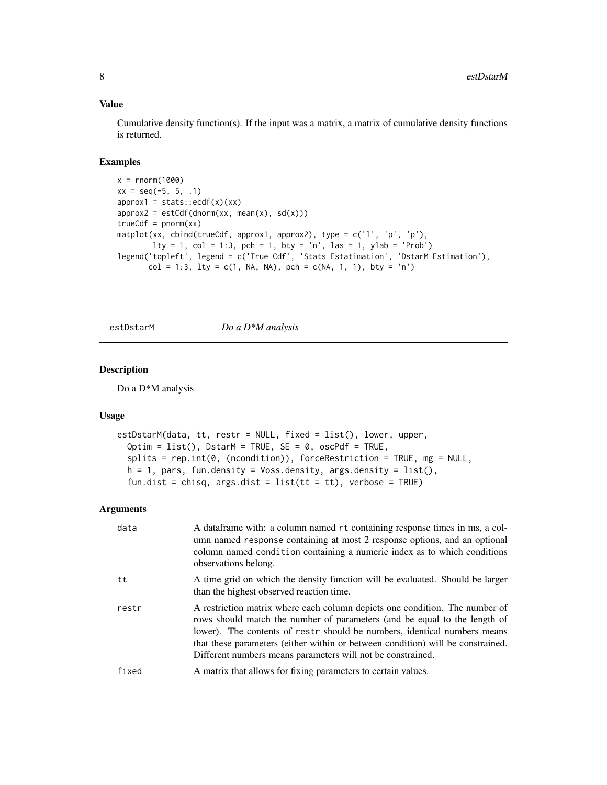#### <span id="page-7-0"></span>Value

Cumulative density function(s). If the input was a matrix, a matrix of cumulative density functions is returned.

#### Examples

```
x = rnorm(1000)xx = seq(-5, 5, .1)approx1 = stats::ecdf(x)(xx)approx2 = estCdf(dnorm(xx, mean(x), sd(x)))trueCdf = pnorm(xx)matplot(xx, cbind(trueCdf, approx1, approx2), type = c('l', 'p', 'p'),
       lty = 1, col = 1:3, pch = 1, bty = 'n', las = 1, ylab = 'Prob')
legend('topleft', legend = c('True Cdf', 'Stats Estatimation', 'DstarM Estimation'),
      col = 1:3, lty = c(1, NA, NA), pch = c(NA, 1, 1), bty = 'n')
```
<span id="page-7-1"></span>estDstarM *Do a D\*M analysis*

#### Description

Do a D\*M analysis

#### Usage

```
estDstarM(data, tt, restr = NULL, fixed = list(), lower, upper,
  Optim = list(), DstarM = TRUE, SE = 0, oscPdf = TRUE,
  splits = rep.int(0, (ncondition)), forceRestriction = TRUE, mg = NULL,
 h = 1, pars, fun.density = Voss.density, args.density = list(),
  fun.dist = chisq, args.dist = list(t + t), verbose = TRUE)
```
#### Arguments

| data  | A dataframe with: a column named rt containing response times in ms, a col-<br>umn named response containing at most 2 response options, and an optional<br>column named condition containing a numeric index as to which conditions<br>observations belong.                                                                                                                           |
|-------|----------------------------------------------------------------------------------------------------------------------------------------------------------------------------------------------------------------------------------------------------------------------------------------------------------------------------------------------------------------------------------------|
| tt    | A time grid on which the density function will be evaluated. Should be larger<br>than the highest observed reaction time.                                                                                                                                                                                                                                                              |
| restr | A restriction matrix where each column depicts one condition. The number of<br>rows should match the number of parameters (and be equal to the length of<br>lower). The contents of restr should be numbers, identical numbers means<br>that these parameters (either within or between condition) will be constrained.<br>Different numbers means parameters will not be constrained. |
| fixed | A matrix that allows for fixing parameters to certain values.                                                                                                                                                                                                                                                                                                                          |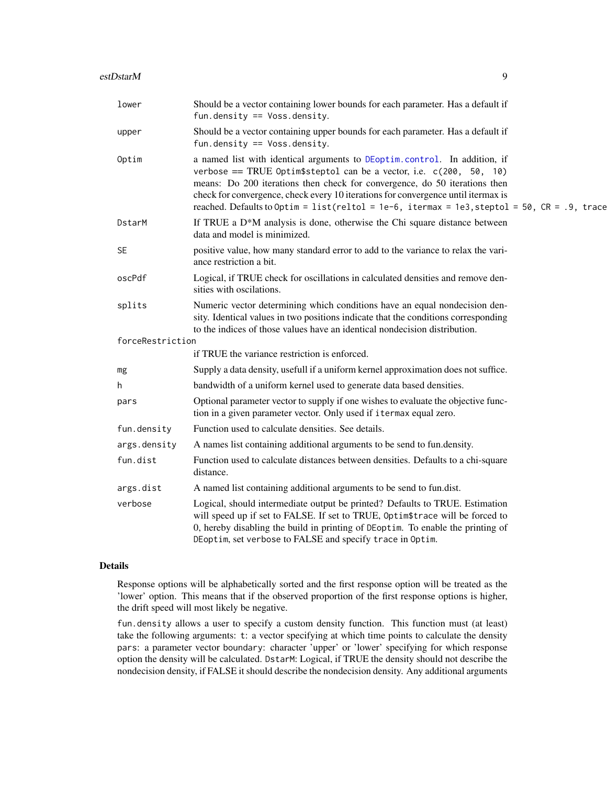<span id="page-8-0"></span>

| lower            | Should be a vector containing lower bounds for each parameter. Has a default if<br>fun.density == $Voss.density$ .                                                                                                                                                                                                                                                                                                      |
|------------------|-------------------------------------------------------------------------------------------------------------------------------------------------------------------------------------------------------------------------------------------------------------------------------------------------------------------------------------------------------------------------------------------------------------------------|
| upper            | Should be a vector containing upper bounds for each parameter. Has a default if<br>fun.density == $Voss.density$ .                                                                                                                                                                                                                                                                                                      |
| Optim            | a named list with identical arguments to DEoptim.control. In addition, if<br>verbose == TRUE Optim\$steptol can be a vector, i.e. $c(200, 50, 10)$<br>means: Do 200 iterations then check for convergence, do 50 iterations then<br>check for convergence, check every 10 iterations for convergence until itermax is<br>reached. Defaults to Optim = $list(reltol = 1e-6, itermax = 1e3, steptol = 50, CR = .9, trace$ |
| DstarM           | If TRUE a D*M analysis is done, otherwise the Chi square distance between<br>data and model is minimized.                                                                                                                                                                                                                                                                                                               |
| SE               | positive value, how many standard error to add to the variance to relax the vari-<br>ance restriction a bit.                                                                                                                                                                                                                                                                                                            |
| oscPdf           | Logical, if TRUE check for oscillations in calculated densities and remove den-<br>sities with oscilations.                                                                                                                                                                                                                                                                                                             |
| splits           | Numeric vector determining which conditions have an equal nondecision den-<br>sity. Identical values in two positions indicate that the conditions corresponding<br>to the indices of those values have an identical nondecision distribution.                                                                                                                                                                          |
| forceRestriction |                                                                                                                                                                                                                                                                                                                                                                                                                         |
|                  | if TRUE the variance restriction is enforced.                                                                                                                                                                                                                                                                                                                                                                           |
| mg               | Supply a data density, usefull if a uniform kernel approximation does not suffice.                                                                                                                                                                                                                                                                                                                                      |
| h                | bandwidth of a uniform kernel used to generate data based densities.                                                                                                                                                                                                                                                                                                                                                    |
| pars             | Optional parameter vector to supply if one wishes to evaluate the objective func-<br>tion in a given parameter vector. Only used if i termax equal zero.                                                                                                                                                                                                                                                                |
| fun.density      | Function used to calculate densities. See details.                                                                                                                                                                                                                                                                                                                                                                      |
| args.density     | A names list containing additional arguments to be send to fun.density.                                                                                                                                                                                                                                                                                                                                                 |
| fun.dist         | Function used to calculate distances between densities. Defaults to a chi-square<br>distance.                                                                                                                                                                                                                                                                                                                           |
| args.dist        | A named list containing additional arguments to be send to fun.dist.                                                                                                                                                                                                                                                                                                                                                    |
| verbose          | Logical, should intermediate output be printed? Defaults to TRUE. Estimation<br>will speed up if set to FALSE. If set to TRUE, Optim\$trace will be forced to<br>0, hereby disabling the build in printing of DEoptim. To enable the printing of<br>DEoptim, set verbose to FALSE and specify trace in Optim.                                                                                                           |

#### Details

Response options will be alphabetically sorted and the first response option will be treated as the 'lower' option. This means that if the observed proportion of the first response options is higher, the drift speed will most likely be negative.

fun.density allows a user to specify a custom density function. This function must (at least) take the following arguments: t: a vector specifying at which time points to calculate the density pars: a parameter vector boundary: character 'upper' or 'lower' specifying for which response option the density will be calculated. DstarM: Logical, if TRUE the density should not describe the nondecision density, if FALSE it should describe the nondecision density. Any additional arguments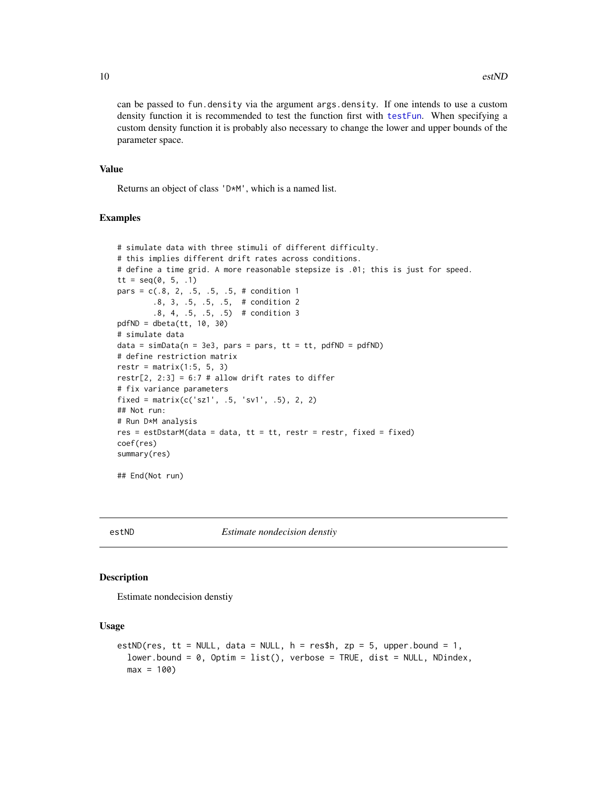can be passed to fun.density via the argument args.density. If one intends to use a custom density function it is recommended to test the function first with [testFun](#page-19-1). When specifying a custom density function it is probably also necessary to change the lower and upper bounds of the parameter space.

### Value

Returns an object of class 'D\*M', which is a named list.

#### Examples

```
# simulate data with three stimuli of different difficulty.
# this implies different drift rates across conditions.
# define a time grid. A more reasonable stepsize is .01; this is just for speed.
tt = seq(0, 5, .1)pars = c(.8, 2, .5, .5, .5, # condition 1).8, 3, .5, .5, .5, # condition 2
        .8, 4, .5, .5, .5) # condition 3
pdfND = dbeta(tt, 10, 30)
# simulate data
data = simData(n = 3e3, pars = pars, tt = tt, pdfND = pdfND)# define restriction matrix
restr = matrix(1:5, 5, 3)restr[2, 2:3] = 6:7 # allow drift rates to differ
# fix variance parameters
fixed = matrix(c('sz1', .5, 'sv1', .5), 2, 2)
## Not run:
# Run D*M analysis
res = estDstarM(data = data, tt = tt, restr = restr, fixed = fixed)
coef(res)
summary(res)
## End(Not run)
```
<span id="page-9-1"></span>

estND *Estimate nondecision denstiy*

#### Description

Estimate nondecision denstiy

#### Usage

```
estND(res, tt = NULL, data = NULL, h = \text{res$h, zp = 5, upper. bound = 1,}lower.bound = 0, Optim = list(), verbose = TRUE, dist = NULL, NDindex,
  max = 100
```
<span id="page-9-0"></span>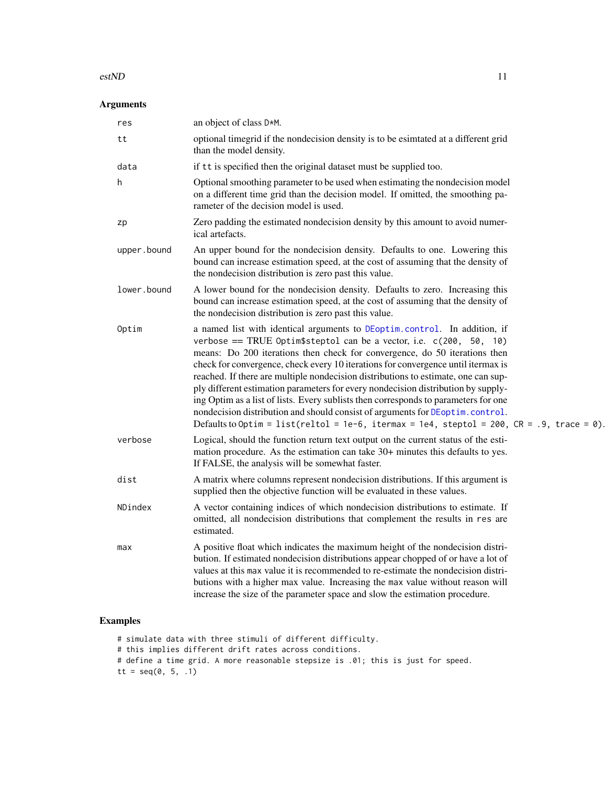#### <span id="page-10-0"></span> $\epsilon$ stND 11

#### Arguments

| res         | an object of class D*M.                                                                                                                                                                                                                                                                                                                                                                                                                                                                                                                                                                                                                                                                                                                                                   |
|-------------|---------------------------------------------------------------------------------------------------------------------------------------------------------------------------------------------------------------------------------------------------------------------------------------------------------------------------------------------------------------------------------------------------------------------------------------------------------------------------------------------------------------------------------------------------------------------------------------------------------------------------------------------------------------------------------------------------------------------------------------------------------------------------|
| tt          | optional timegrid if the nondecision density is to be esimtated at a different grid<br>than the model density.                                                                                                                                                                                                                                                                                                                                                                                                                                                                                                                                                                                                                                                            |
| data        | if tt is specified then the original dataset must be supplied too.                                                                                                                                                                                                                                                                                                                                                                                                                                                                                                                                                                                                                                                                                                        |
| h           | Optional smoothing parameter to be used when estimating the nondecision model<br>on a different time grid than the decision model. If omitted, the smoothing pa-<br>rameter of the decision model is used.                                                                                                                                                                                                                                                                                                                                                                                                                                                                                                                                                                |
| zp          | Zero padding the estimated nondecision density by this amount to avoid numer-<br>ical artefacts.                                                                                                                                                                                                                                                                                                                                                                                                                                                                                                                                                                                                                                                                          |
| upper.bound | An upper bound for the nondecision density. Defaults to one. Lowering this<br>bound can increase estimation speed, at the cost of assuming that the density of<br>the nondecision distribution is zero past this value.                                                                                                                                                                                                                                                                                                                                                                                                                                                                                                                                                   |
| lower.bound | A lower bound for the nondecision density. Defaults to zero. Increasing this<br>bound can increase estimation speed, at the cost of assuming that the density of<br>the nondecision distribution is zero past this value.                                                                                                                                                                                                                                                                                                                                                                                                                                                                                                                                                 |
| Optim       | a named list with identical arguments to DEoptim.control. In addition, if<br>verbose == TRUE Optim\$steptol can be a vector, i.e. $c(200, 50, 10)$<br>means: Do 200 iterations then check for convergence, do 50 iterations then<br>check for convergence, check every 10 iterations for convergence until itermax is<br>reached. If there are multiple nondecision distributions to estimate, one can sup-<br>ply different estimation parameters for every nondecision distribution by supply-<br>ing Optim as a list of lists. Every sublists then corresponds to parameters for one<br>nondecision distribution and should consist of arguments for DEoptim.control.<br>Defaults to Optim = list(reltol = 1e-6, itermax = 1e4, steptol = 200, $CR = .9$ , trace = 0). |
| verbose     | Logical, should the function return text output on the current status of the esti-<br>mation procedure. As the estimation can take 30+ minutes this defaults to yes.<br>If FALSE, the analysis will be somewhat faster.                                                                                                                                                                                                                                                                                                                                                                                                                                                                                                                                                   |
| dist        | A matrix where columns represent nondecision distributions. If this argument is<br>supplied then the objective function will be evaluated in these values.                                                                                                                                                                                                                                                                                                                                                                                                                                                                                                                                                                                                                |
| NDindex     | A vector containing indices of which nondecision distributions to estimate. If<br>omitted, all nondecision distributions that complement the results in res are<br>estimated.                                                                                                                                                                                                                                                                                                                                                                                                                                                                                                                                                                                             |
| max         | A positive float which indicates the maximum height of the nondecision distri-<br>bution. If estimated nondecision distributions appear chopped of or have a lot of<br>values at this max value it is recommended to re-estimate the nondecision distri-<br>butions with a higher max value. Increasing the max value without reason will<br>increase the size of the parameter space and slow the estimation procedure.                                                                                                                                                                                                                                                                                                                                                  |

### Examples

# simulate data with three stimuli of different difficulty. # this implies different drift rates across conditions. # define a time grid. A more reasonable stepsize is .01; this is just for speed. tt =  $seq(0, 5, .1)$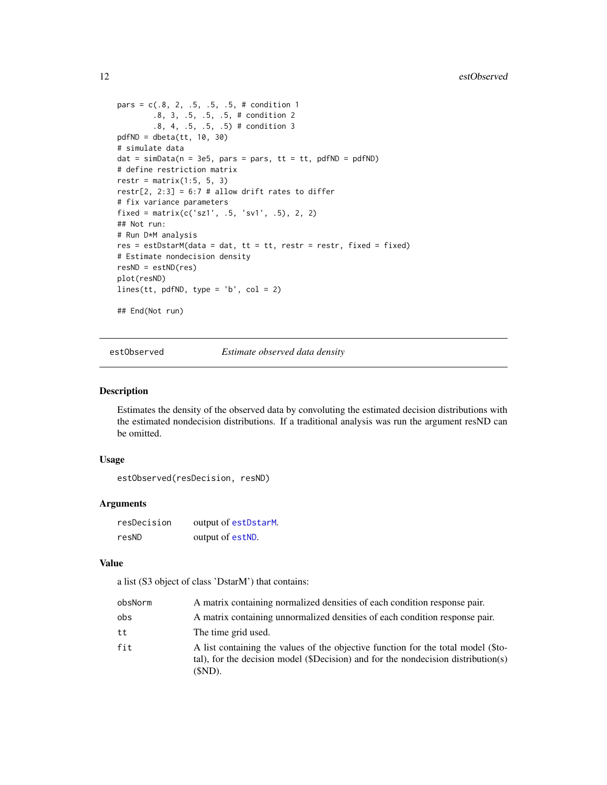```
pars = c(.8, 2, .5, .5, .5, # condition 1).8, 3, .5, .5, .5, # condition 2
        .8, 4, .5, .5, .5) # condition 3
pdfND = dbeta(tt, 10, 30)# simulate data
dat = simData(n = 3e5, pars = pars, tt = tt, pdfND = pdfND)# define restriction matrix
restr = matrix(1:5, 5, 3)restr[2, 2:3] = 6:7 # allow drift rates to differ
# fix variance parameters
fixed = matrix(c('sz1', .5, 'sv1', .5), 2, 2)## Not run:
# Run D*M analysis
res = estDstarM(data = dat, tt = tt, restr = restr, fixed = fixed)# Estimate nondecision density
resND = estND(res)
plot(resND)
lines(tt, pdfND, type = 'b', col = 2)
## End(Not run)
```
estObserved *Estimate observed data density*

#### Description

Estimates the density of the observed data by convoluting the estimated decision distributions with the estimated nondecision distributions. If a traditional analysis was run the argument resND can be omitted.

#### Usage

estObserved(resDecision, resND)

#### Arguments

| resDecision | output of estDstarM. |
|-------------|----------------------|
| resND       | output of estND.     |

#### Value

a list (S3 object of class 'DstarM') that contains:

| obsNorm | A matrix containing normalized densities of each condition response pair.                                                                                                           |
|---------|-------------------------------------------------------------------------------------------------------------------------------------------------------------------------------------|
| obs     | A matrix containing unnormalized densities of each condition response pair.                                                                                                         |
| tt      | The time grid used.                                                                                                                                                                 |
| fit     | A list containing the values of the objective function for the total model (\$to-<br>tal), for the decision model (\$Decision) and for the nondecision distribution(s)<br>$(SND)$ . |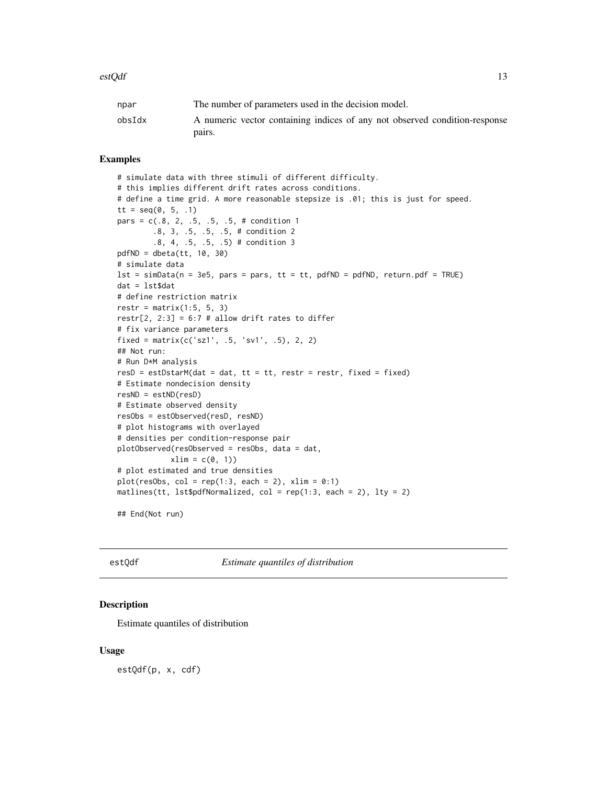<span id="page-12-0"></span>

| npar   | The number of parameters used in the decision model.                       |
|--------|----------------------------------------------------------------------------|
| obsIdx | A numeric vector containing indices of any not observed condition-response |
|        | pairs.                                                                     |

#### Examples

```
# simulate data with three stimuli of different difficulty.
# this implies different drift rates across conditions.
# define a time grid. A more reasonable stepsize is .01; this is just for speed.
tt = seq(0, 5, .1)pars = c(.8, 2, .5, .5, .5, # condition 1).8, 3, .5, .5, .5, # condition 2
        .8, 4, .5, .5, .5) # condition 3
pdfND = dbeta(tt, 10, 30)
# simulate data
lst = simData(n = 3e5, pars = pars, tt = tt, pdfND = pdfND, return.pdf = TRUE)dat = lst$dat
# define restriction matrix
restr = matrix(1:5, 5, 3)restr[2, 2:3] = 6:7 # allow drift rates to differ
# fix variance parameters
fixed = matrix(c('sz1', .5, 'sv1', .5), 2, 2)## Not run:
# Run D*M analysis
resD = estDstarM(data = dat, tt = tt, restr = restr, fixed = fixed)# Estimate nondecision density
resND = estND(resD)
# Estimate observed density
resObs = estObserved(resD, resND)
# plot histograms with overlayed
# densities per condition-response pair
plotObserved(resObserved = resObs, data = dat,
            xlim = c(0, 1)# plot estimated and true densities
plot(resObs, col = rep(1:3, each = 2), xlim = 0:1)
matlines(tt, lst$pdfNormalized, col = rep(1:3, each = 2), lty = 2)
## End(Not run)
```
<span id="page-12-1"></span>estQdf *Estimate quantiles of distribution*

#### **Description**

Estimate quantiles of distribution

#### Usage

estQdf(p, x, cdf)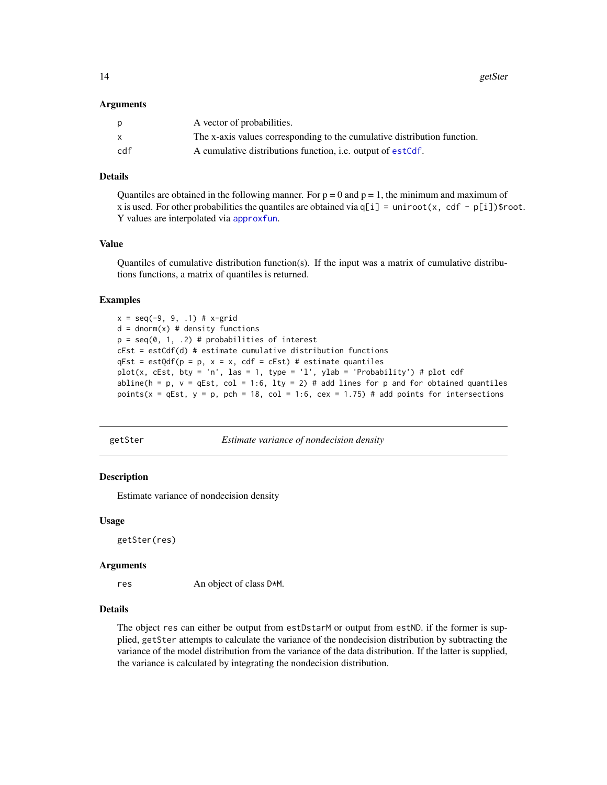<span id="page-13-0"></span>14 getSter

#### Arguments

| p   | A vector of probabilities.                                               |
|-----|--------------------------------------------------------------------------|
| X   | The x-axis values corresponding to the cumulative distribution function. |
| cdf | A cumulative distributions function, <i>i.e.</i> output of estCdf.       |

#### Details

Quantiles are obtained in the following manner. For  $p = 0$  and  $p = 1$ , the minimum and maximum of x is used. For other probabilities the quantiles are obtained via  $q[i]$  = uniroot(x, cdf - p[i])\$root. Y values are interpolated via [approxfun](#page-0-0).

#### Value

Quantiles of cumulative distribution function(s). If the input was a matrix of cumulative distributions functions, a matrix of quantiles is returned.

#### Examples

```
x = seq(-9, 9, .1) # x-gridd = dom(m(x) # density functions)p = seq(0, 1, .2) # probabilities of interest
cEst = estCdf(d) # estimate cumulative distribution functions
qEst = estQdf(p = p, x = x, cdf = cEst) # estimate quantilesplot(x, cEst, bty = 'n', las = 1, type = 'l', ylab = 'Probability') # plot cdf
abline(h = p, v = qEst, col = 1:6, lty = 2) # add lines for p and for obtained quantiles
points(x = qEst, y = p, pch = 18, col = 1:6, cex = 1.75) # add points for intersections
```
getSter *Estimate variance of nondecision density*

#### **Description**

Estimate variance of nondecision density

#### Usage

getSter(res)

#### Arguments

res An object of class D\*M.

#### Details

The object res can either be output from estDstarM or output from estND. if the former is supplied, getSter attempts to calculate the variance of the nondecision distribution by subtracting the variance of the model distribution from the variance of the data distribution. If the latter is supplied, the variance is calculated by integrating the nondecision distribution.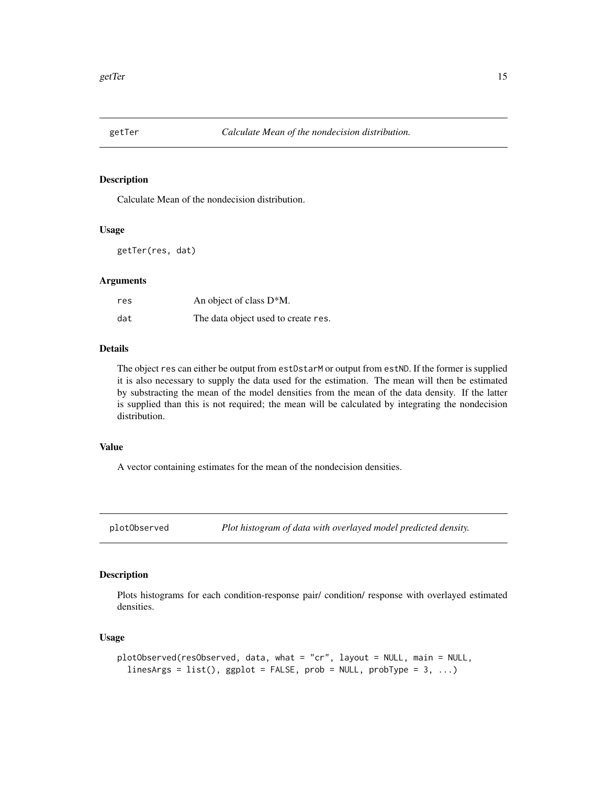<span id="page-14-0"></span>

#### Description

Calculate Mean of the nondecision distribution.

#### Usage

getTer(res, dat)

#### Arguments

| res | An object of class D <sup>*</sup> M. |
|-----|--------------------------------------|
| dat | The data object used to create res.  |

#### Details

The object res can either be output from estDstarM or output from estND. If the former is supplied it is also necessary to supply the data used for the estimation. The mean will then be estimated by substracting the mean of the model densities from the mean of the data density. If the latter is supplied than this is not required; the mean will be calculated by integrating the nondecision distribution.

#### Value

A vector containing estimates for the mean of the nondecision densities.

plotObserved *Plot histogram of data with overlayed model predicted density.*

#### Description

Plots histograms for each condition-response pair/ condition/ response with overlayed estimated densities.

#### Usage

```
plotObserved(resObserved, data, what = "cr", layout = NULL, main = NULL,
  linesArgs = list(), ggplot = FALSE, prob = NULL, probType = 3, ...)
```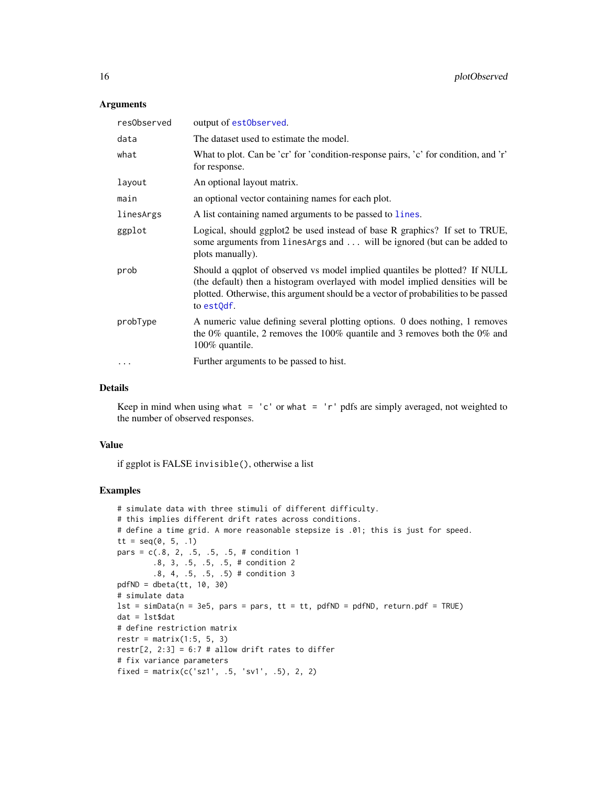#### <span id="page-15-0"></span>Arguments

| resObserved | output of estObserved.                                                                                                                                                                                                                                          |
|-------------|-----------------------------------------------------------------------------------------------------------------------------------------------------------------------------------------------------------------------------------------------------------------|
| data        | The dataset used to estimate the model.                                                                                                                                                                                                                         |
| what        | What to plot. Can be 'cr' for 'condition-response pairs, 'c' for condition, and 'r'<br>for response.                                                                                                                                                            |
| layout      | An optional layout matrix.                                                                                                                                                                                                                                      |
| main        | an optional vector containing names for each plot.                                                                                                                                                                                                              |
| linesArgs   | A list containing named arguments to be passed to lines.                                                                                                                                                                                                        |
| ggplot      | Logical, should ggplot2 be used instead of base R graphics? If set to TRUE,<br>some arguments from linesArgs and  will be ignored (but can be added to<br>plots manually).                                                                                      |
| prob        | Should a qqplot of observed vs model implied quantiles be plotted? If NULL<br>(the default) then a histogram overlayed with model implied densities will be<br>plotted. Otherwise, this argument should be a vector of probabilities to be passed<br>to estQdf. |
| probType    | A numeric value defining several plotting options. 0 does nothing, 1 removes<br>the 0% quantile, 2 removes the 100% quantile and 3 removes both the 0% and<br>100% quantile.                                                                                    |
|             | Further arguments to be passed to hist.                                                                                                                                                                                                                         |
|             |                                                                                                                                                                                                                                                                 |

#### Details

Keep in mind when using what =  $'c'$  or what =  $'r'$  pdfs are simply averaged, not weighted to the number of observed responses.

#### Value

if ggplot is FALSE invisible(), otherwise a list

```
# simulate data with three stimuli of different difficulty.
# this implies different drift rates across conditions.
# define a time grid. A more reasonable stepsize is .01; this is just for speed.
tt = seq(0, 5, .1)pars = c(.8, 2, .5, .5, .5, # condition 1).8, 3, .5, .5, .5, # condition 2
        .8, 4, .5, .5, .5) # condition 3
pdfND = dbeta(tt, 10, 30)
# simulate data
lst = simData(n = 3e5, pars = pars, tt = tt, pdfND = pdfND, return.pdf = TRUE)dat = lst$dat
# define restriction matrix
restr = matrix(1:5, 5, 3)restr[2, 2:3] = 6:7 # allow drift rates to differ
# fix variance parameters
fixed = matrix(c('sz1', .5, 'sv1', .5), 2, 2)
```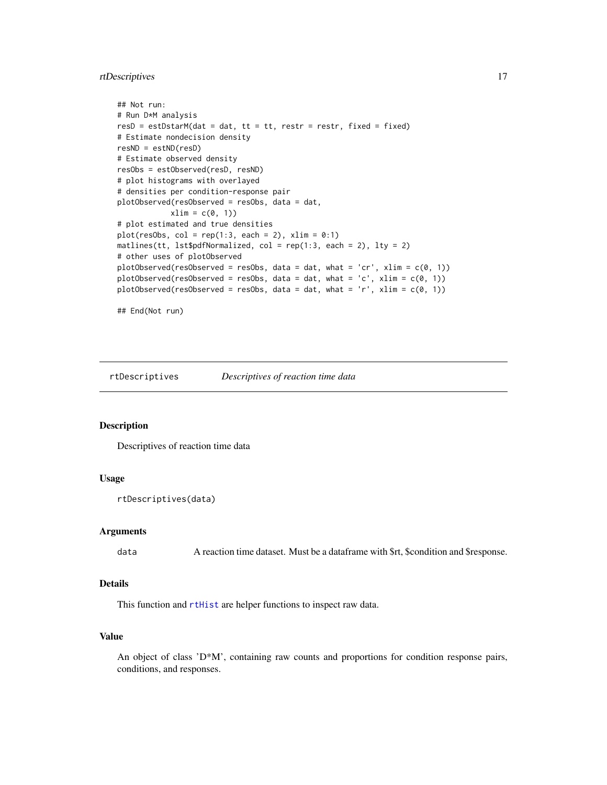#### <span id="page-16-0"></span>rtDescriptives 17

```
## Not run:
# Run D*M analysis
resD = estDstarM(data = dat, tt = tt, restr = restr, fixed = fixed)# Estimate nondecision density
resND = estND(resD)
# Estimate observed density
resObs = estObserved(resD, resND)
# plot histograms with overlayed
# densities per condition-response pair
plotObserved(resObserved = resObs, data = dat,
            xlim = c(0, 1)# plot estimated and true densities
plot(resObs, col = rep(1:3, each = 2), xlim = 0:1)matlines(tt, lst$pdfNormalized, col = rep(1:3, each = 2), lty = 2)
# other uses of plotObserved
plotObserved(resObserved = resObs, data = dat, what = 'cr', xlim = c(0, 1))
plotObserved(resObserved = resObs, data = dat, what = 'c', xlim = c(0, 1))
plotObserved(resObserved = resObs, data = dat, what = 'r', xlim = c(0, 1))
## End(Not run)
```
<span id="page-16-1"></span>

rtDescriptives *Descriptives of reaction time data*

#### Description

Descriptives of reaction time data

#### Usage

rtDescriptives(data)

#### Arguments

data A reaction time dataset. Must be a dataframe with \$rt, \$condition and \$response.

#### Details

This function and [rtHist](#page-17-1) are helper functions to inspect raw data.

#### Value

An object of class 'D\*M', containing raw counts and proportions for condition response pairs, conditions, and responses.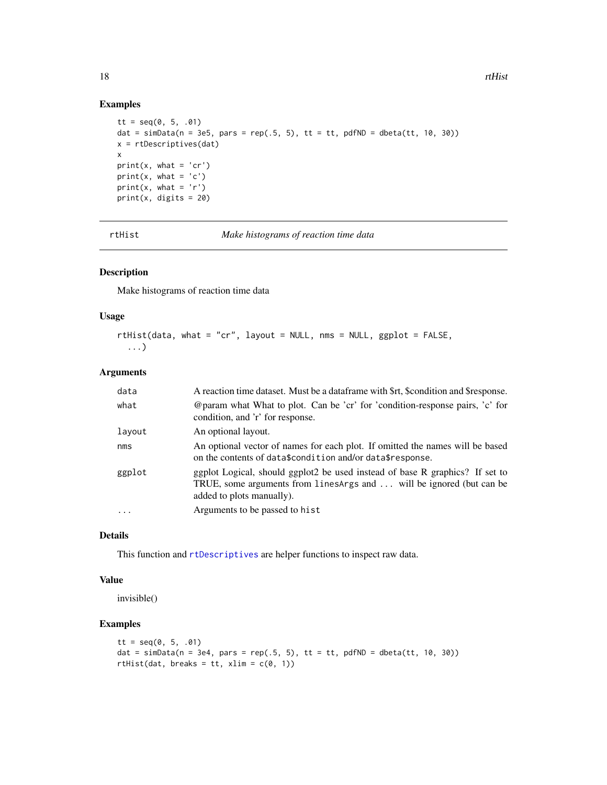#### Examples

```
tt = seq(0, 5, .01)dat = simData(n = 3e5, pars = rep(.5, 5), tt = tt, pdfND = dbeta(tt, 10, 30))
x = rtDescriptives(dat)
x
print(x, what = 'cr')print(x, what = 'c')
print(x, what = 'r')print(x, \text{ digits} = 20)
```
rtHist *Make histograms of reaction time data*

#### Description

Make histograms of reaction time data

#### Usage

```
rtHist(data, what = "cr", layout = NULL, nms = NULL, ggplot = FALSE,
  ...)
```
#### Arguments

| data     | A reaction time dataset. Must be a dataframe with \$rt, \$condition and \$response.                                                                                               |
|----------|-----------------------------------------------------------------------------------------------------------------------------------------------------------------------------------|
| what     | @param what What to plot. Can be 'cr' for 'condition-response pairs, 'c' for<br>condition, and 'r' for response.                                                                  |
| layout   | An optional layout.                                                                                                                                                               |
| nms      | An optional vector of names for each plot. If omitted the names will be based<br>on the contents of data\$condition and/or data\$response.                                        |
| ggplot   | ggplot Logical, should ggplot2 be used instead of base R graphics? If set to<br>TRUE, some arguments from linesArgs and  will be ignored (but can be<br>added to plots manually). |
| $\ddots$ | Arguments to be passed to hist                                                                                                                                                    |

#### Details

This function and [rtDescriptives](#page-16-1) are helper functions to inspect raw data.

#### Value

invisible()

```
tt = seq(0, 5, .01)dat = simData(n = 3e4, pars = rep(.5, 5), tt = tt, pdfND = dbeta(tt, 10, 30))
rtHist(dat, breaks = tt, xlim = c(0, 1))
```
<span id="page-17-0"></span>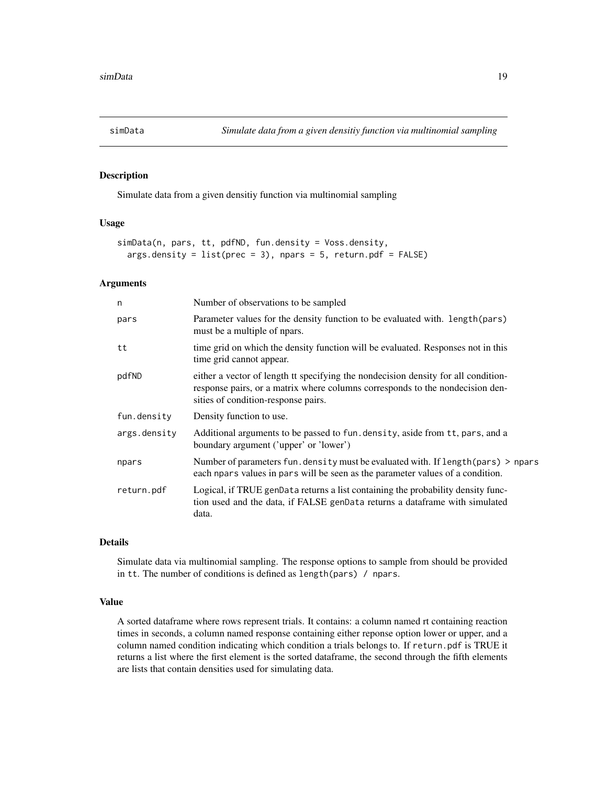<span id="page-18-0"></span>

#### Description

Simulate data from a given densitiy function via multinomial sampling

#### Usage

```
simData(n, pars, tt, pdfND, fun.density = Voss.density,
 args.density = list(prec = 3), npars = 5, return.pdf = FALSE)
```
#### Arguments

| Number of observations to be sampled                                                                                                                                                                       |
|------------------------------------------------------------------------------------------------------------------------------------------------------------------------------------------------------------|
| Parameter values for the density function to be evaluated with. length (pars)<br>must be a multiple of npars.                                                                                              |
| time grid on which the density function will be evaluated. Responses not in this<br>time grid cannot appear.                                                                                               |
| either a vector of length tt specifying the nondecision density for all condition-<br>response pairs, or a matrix where columns corresponds to the nondecision den-<br>sities of condition-response pairs. |
| Density function to use.                                                                                                                                                                                   |
| Additional arguments to be passed to fun. density, aside from tt, pars, and a<br>boundary argument ('upper' or 'lower')                                                                                    |
| Number of parameters fun. density must be evaluated with. If length (pars) > npars<br>each npars values in pars will be seen as the parameter values of a condition.                                       |
| Logical, if TRUE genData returns a list containing the probability density func-<br>tion used and the data, if FALSE genData returns a dataframe with simulated<br>data.                                   |
|                                                                                                                                                                                                            |

#### Details

Simulate data via multinomial sampling. The response options to sample from should be provided in tt. The number of conditions is defined as length(pars) / npars.

#### Value

A sorted dataframe where rows represent trials. It contains: a column named rt containing reaction times in seconds, a column named response containing either reponse option lower or upper, and a column named condition indicating which condition a trials belongs to. If return.pdf is TRUE it returns a list where the first element is the sorted dataframe, the second through the fifth elements are lists that contain densities used for simulating data.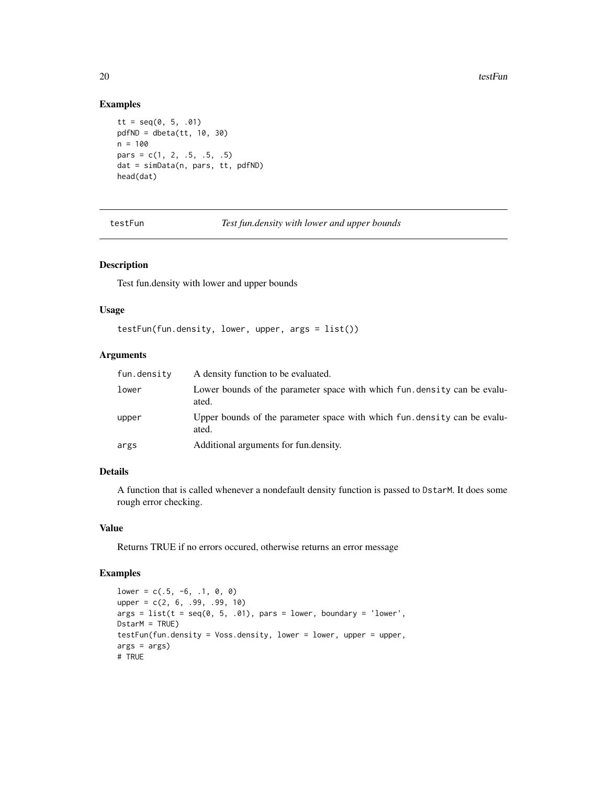#### Examples

```
tt = seq(0, 5, .01)pdfND = dbeta(tt, 10, 30)
n = 100pars = c(1, 2, .5, .5, .5)dat = simData(n, pars, tt, pdfND)
head(dat)
```
<span id="page-19-1"></span>testFun *Test fun.density with lower and upper bounds*

#### Description

Test fun.density with lower and upper bounds

#### Usage

```
testFun(fun.density, lower, upper, args = list())
```
#### Arguments

| fun.density | A density function to be evaluated.                                                |
|-------------|------------------------------------------------------------------------------------|
| lower       | Lower bounds of the parameter space with which fun. density can be evalu-<br>ated. |
| upper       | Upper bounds of the parameter space with which fun. density can be evalu-<br>ated. |
| args        | Additional arguments for fun.density.                                              |

#### Details

A function that is called whenever a nondefault density function is passed to DstarM. It does some rough error checking.

#### Value

Returns TRUE if no errors occured, otherwise returns an error message

```
lower = c(.5, -6, .1, 0, 0)upper = c(2, 6, .99, .99, 10)
args = list(t = seq(0, 5, .01), pars = lower, boundary = 'lower',DstarM = TRUE)
testFun(fun.density = Voss.density, lower = lower, upper = upper,
args = args)# TRUE
```
<span id="page-19-0"></span>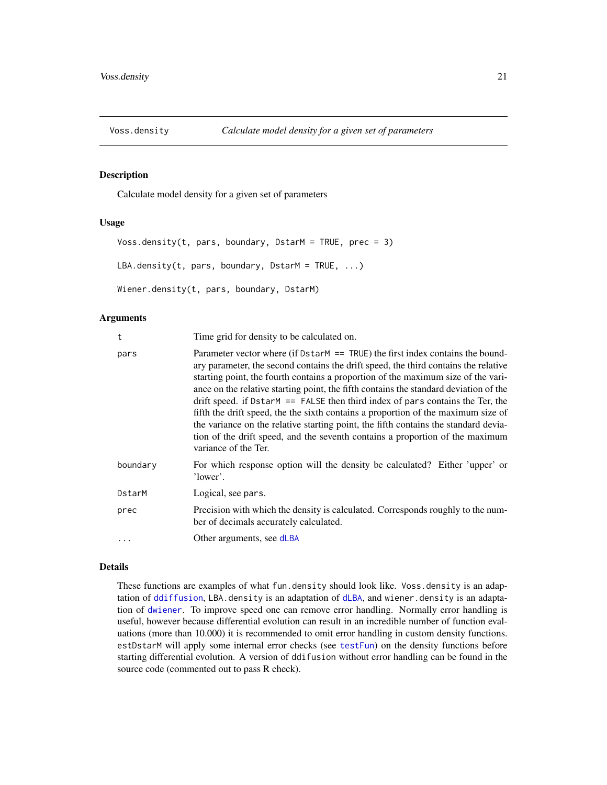<span id="page-20-0"></span>

#### Description

Calculate model density for a given set of parameters

#### Usage

```
Voss.density(t, pars, boundary, DstarM = TRUE, prec = 3)
LBA.density(t, pars, boundary, DstarM = TRUE, ...)
Wiener.density(t, pars, boundary, DstarM)
```
#### Arguments

| t        | Time grid for density to be calculated on.                                                                                                                                                                                                                                                                                                                                                                                                                                                                                                                                                                                                                                                                                     |
|----------|--------------------------------------------------------------------------------------------------------------------------------------------------------------------------------------------------------------------------------------------------------------------------------------------------------------------------------------------------------------------------------------------------------------------------------------------------------------------------------------------------------------------------------------------------------------------------------------------------------------------------------------------------------------------------------------------------------------------------------|
| pars     | Parameter vector where (if $DstarM = TRUE$ ) the first index contains the bound-<br>ary parameter, the second contains the drift speed, the third contains the relative<br>starting point, the fourth contains a proportion of the maximum size of the vari-<br>ance on the relative starting point, the fifth contains the standard deviation of the<br>drift speed. if DstarM $==$ FALSE then third index of pars contains the Ter, the<br>fifth the drift speed, the the sixth contains a proportion of the maximum size of<br>the variance on the relative starting point, the fifth contains the standard devia-<br>tion of the drift speed, and the seventh contains a proportion of the maximum<br>variance of the Ter. |
| boundary | For which response option will the density be calculated? Either 'upper' or<br>'lower'.                                                                                                                                                                                                                                                                                                                                                                                                                                                                                                                                                                                                                                        |
| DstarM   | Logical, see pars.                                                                                                                                                                                                                                                                                                                                                                                                                                                                                                                                                                                                                                                                                                             |
| prec     | Precision with which the density is calculated. Corresponds roughly to the num-<br>ber of decimals accurately calculated.                                                                                                                                                                                                                                                                                                                                                                                                                                                                                                                                                                                                      |
| $\cdots$ | Other arguments, see dLBA                                                                                                                                                                                                                                                                                                                                                                                                                                                                                                                                                                                                                                                                                                      |

#### Details

These functions are examples of what fun.density should look like. Voss.density is an adaptation of [ddiffusion](#page-0-0), LBA.density is an adaptation of [dLBA](#page-0-0), and wiener.density is an adaptation of [dwiener](#page-0-0). To improve speed one can remove error handling. Normally error handling is useful, however because differential evolution can result in an incredible number of function evaluations (more than 10.000) it is recommended to omit error handling in custom density functions. estDstarM will apply some internal error checks (see [testFun](#page-19-1)) on the density functions before starting differential evolution. A version of ddifusion without error handling can be found in the source code (commented out to pass R check).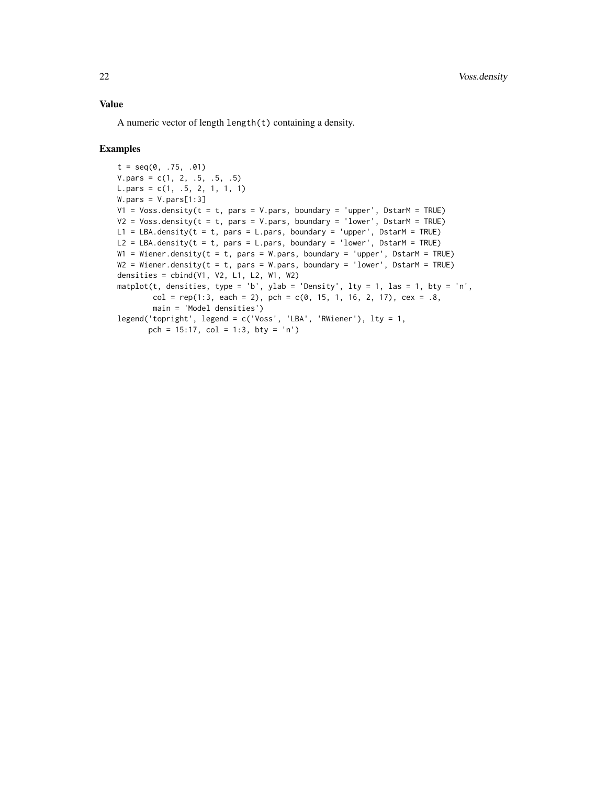#### Value

A numeric vector of length length(t) containing a density.

```
t = seq(0, .75, .01)V. pars = c(1, 2, .5, .5, .5)L.pars = c(1, .5, 2, 1, 1, 1)
W.pars = V.pars[1:3]V1 = Voss.density(t = t, pars = V.pars, boundary = 'upper', DstarM = TRUE)V2 = Voss.density(t = t, pars = V.pars, boundary = 'lower', DstarM = TRUE)L1 = LBA.density(t = t, pars = L.pars, boundary = 'upper', DstarM = TRUE)
L2 = LBA.density(t = t, pars = L.pars, boundary = 'lower', DstarM = TRUE)W1 = Wiener.density(t = t, pars = W.pars, boundary = 'upper', DstarM = TRUE)
W2 = Wiener.density(t = t, pars = W.pars, boundary = 'lower', DstarM = TRUE)
densities = cbind(V1, V2, L1, L2, W1, W2)
matplot(t, densities, type = 'b', ylab = 'Density', lty = 1, las = 1, bty = 'n',
        col = rep(1:3, each = 2), pch = c(0, 15, 1, 16, 2, 17), cex = .8,main = 'Model densities')
legend('topright', legend = c('Voss', 'LBA', 'RWiener'), lty = 1,
       pch = 15:17, col = 1:3, bty = 'n')
```